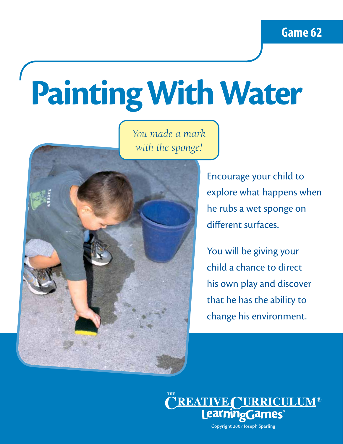# **Painting With Water**

*You made a mark with the sponge!*



Encourage your child to explore what happens when he rubs a wet sponge on different surfaces.

You will be giving your child a chance to direct his own play and discover that he has the ability to change his environment.

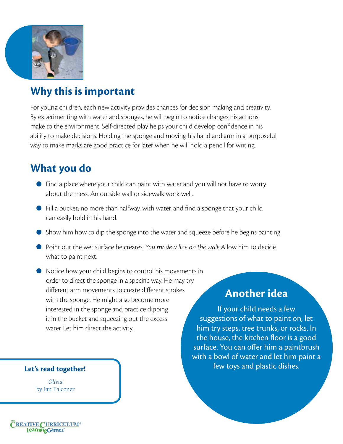

## **Why this is important**

For young children, each new activity provides chances for decision making and creativity. By experimenting with water and sponges, he will begin to notice changes his actions make to the environment. Self-directed play helps your child develop confidence in his ability to make decisions. Holding the sponge and moving his hand and arm in a purposeful way to make marks are good practice for later when he will hold a pencil for writing.

### **What you do**

- Find a place where your child can paint with water and you will not have to worry about the mess. An outside wall or sidewalk work well.
- Fill a bucket, no more than halfway, with water, and find a sponge that your child can easily hold in his hand.
- Show him how to dip the sponge into the water and squeeze before he begins painting.
- Point out the wet surface he creates. *You made a line on the wall!* Allow him to decide what to paint next.
- Notice how your child begins to control his movements in order to direct the sponge in a specific way. He may try different arm movements to create different strokes with the sponge. He might also become more interested in the sponge and practice dipping it in the bucket and squeezing out the excess water. Let him direct the activity.

### **Let's read together!**

*Olivia* by Ian Falconer

### **Another idea**

If your child needs a few suggestions of what to paint on, let him try steps, tree trunks, or rocks. In the house, the kitchen floor is a good surface. You can offer him a paintbrush with a bowl of water and let him paint a few toys and plastic dishes.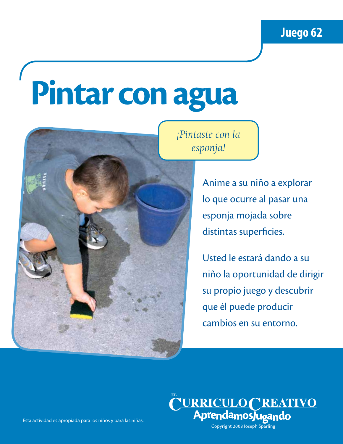## **Pintar con agua**



*¡Pintaste con la esponja!*

> Anime a su niño a explorar lo que ocurre al pasar una esponja mojada sobre distintas superficies.

Usted le estará dando a su niño la oportunidad de dirigir su propio juego y descubrir que él puede producir cambios en su entorno.



Esta actividad es apropiada para los niños y para las niñas.